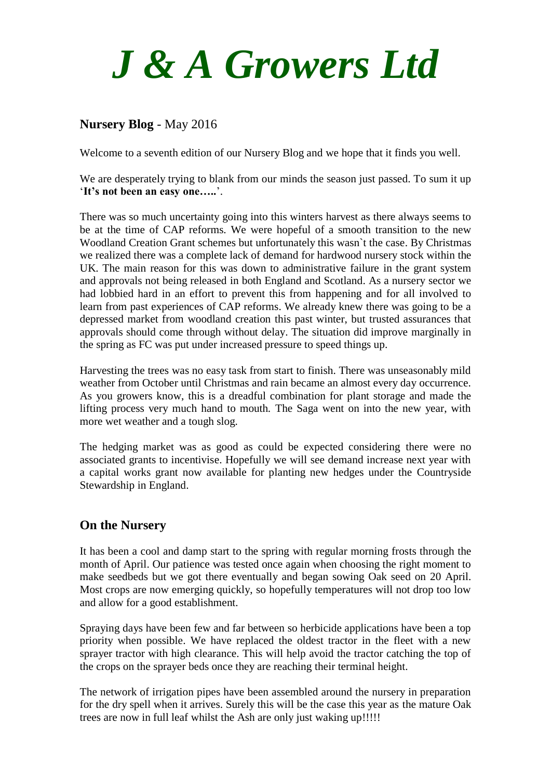

# **Nursery Blog** - May 2016

Welcome to a seventh edition of our Nursery Blog and we hope that it finds you well.

We are desperately trying to blank from our minds the season just passed. To sum it up '**It's not been an easy one…..**'.

There was so much uncertainty going into this winters harvest as there always seems to be at the time of CAP reforms. We were hopeful of a smooth transition to the new Woodland Creation Grant schemes but unfortunately this wasn`t the case. By Christmas we realized there was a complete lack of demand for hardwood nursery stock within the UK. The main reason for this was down to administrative failure in the grant system and approvals not being released in both England and Scotland. As a nursery sector we had lobbied hard in an effort to prevent this from happening and for all involved to learn from past experiences of CAP reforms. We already knew there was going to be a depressed market from woodland creation this past winter, but trusted assurances that approvals should come through without delay. The situation did improve marginally in the spring as FC was put under increased pressure to speed things up.

Harvesting the trees was no easy task from start to finish. There was unseasonably mild weather from October until Christmas and rain became an almost every day occurrence. As you growers know, this is a dreadful combination for plant storage and made the lifting process very much hand to mouth. The Saga went on into the new year, with more wet weather and a tough slog.

The hedging market was as good as could be expected considering there were no associated grants to incentivise. Hopefully we will see demand increase next year with a capital works grant now available for planting new hedges under the Countryside Stewardship in England.

## **On the Nursery**

It has been a cool and damp start to the spring with regular morning frosts through the month of April. Our patience was tested once again when choosing the right moment to make seedbeds but we got there eventually and began sowing Oak seed on 20 April. Most crops are now emerging quickly, so hopefully temperatures will not drop too low and allow for a good establishment.

Spraying days have been few and far between so herbicide applications have been a top priority when possible. We have replaced the oldest tractor in the fleet with a new sprayer tractor with high clearance. This will help avoid the tractor catching the top of the crops on the sprayer beds once they are reaching their terminal height.

The network of irrigation pipes have been assembled around the nursery in preparation for the dry spell when it arrives. Surely this will be the case this year as the mature Oak trees are now in full leaf whilst the Ash are only just waking up!!!!!